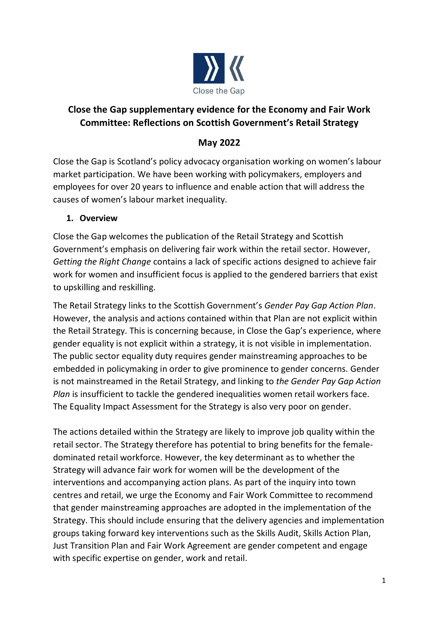

# **Close the Gap supplementary evidence for the Economy and Fair Work Committee: Reflections on Scottish Government's Retail Strategy**

## **May 2022**

Close the Gap is Scotland's policy advocacy organisation working on women's labour market participation. We have been working with policymakers, employers and employees for over 20 years to influence and enable action that will address the causes of women's labour market inequality.

### **1. Overview**

Close the Gap welcomes the publication of the Retail Strategy and Scottish Government's emphasis on delivering fair work within the retail sector. However, *Getting the Right Change* contains a lack of specific actions designed to achieve fair work for women and insufficient focus is applied to the gendered barriers that exist to upskilling and reskilling.

The Retail Strategy links to the Scottish Government's *Gender Pay Gap Action Plan*. However, the analysis and actions contained within that Plan are not explicit within the Retail Strategy. This is concerning because, in Close the Gap's experience, where gender equality is not explicit within a strategy, it is not visible in implementation. The public sector equality duty requires gender mainstreaming approaches to be embedded in policymaking in order to give prominence to gender concerns. Gender is not mainstreamed in the Retail Strategy, and linking to *the Gender Pay Gap Action Plan* is insufficient to tackle the gendered inequalities women retail workers face. The Equality Impact Assessment for the Strategy is also very poor on gender.

The actions detailed within the Strategy are likely to improve job quality within the retail sector. The Strategy therefore has potential to bring benefits for the femaledominated retail workforce. However, the key determinant as to whether the Strategy will advance fair work for women will be the development of the interventions and accompanying action plans. As part of the inquiry into town centres and retail, we urge the Economy and Fair Work Committee to recommend that gender mainstreaming approaches are adopted in the implementation of the Strategy. This should include ensuring that the delivery agencies and implementation groups taking forward key interventions such as the Skills Audit, Skills Action Plan, Just Transition Plan and Fair Work Agreement are gender competent and engage with specific expertise on gender, work and retail.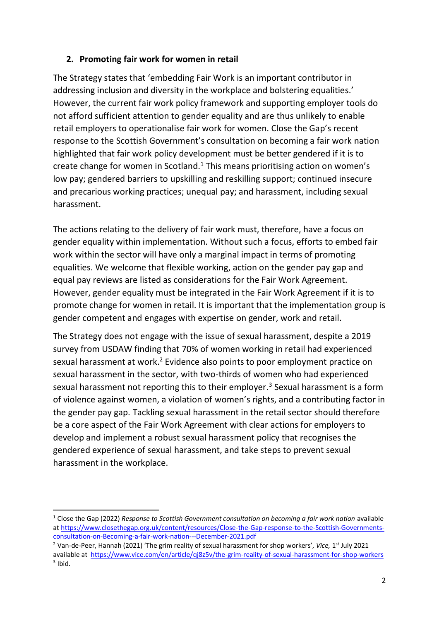#### **2. Promoting fair work for women in retail**

The Strategy states that 'embedding Fair Work is an important contributor in addressing inclusion and diversity in the workplace and bolstering equalities.' However, the current fair work policy framework and supporting employer tools do not afford sufficient attention to gender equality and are thus unlikely to enable retail employers to operationalise fair work for women. Close the Gap's recent response to the Scottish Government's consultation on becoming a fair work nation highlighted that fair work policy development must be better gendered if it is to create change for women in Scotland.<sup>1</sup> This means prioritising action on women's low pay; gendered barriers to upskilling and reskilling support; continued insecure and precarious working practices; unequal pay; and harassment, including sexual harassment.

The actions relating to the delivery of fair work must, therefore, have a focus on gender equality within implementation. Without such a focus, efforts to embed fair work within the sector will have only a marginal impact in terms of promoting equalities. We welcome that flexible working, action on the gender pay gap and equal pay reviews are listed as considerations for the Fair Work Agreement. However, gender equality must be integrated in the Fair Work Agreement if it is to promote change for women in retail. It is important that the implementation group is gender competent and engages with expertise on gender, work and retail.

The Strategy does not engage with the issue of sexual harassment, despite a 2019 survey from USDAW finding that 70% of women working in retail had experienced sexual harassment at work. <sup>2</sup> Evidence also points to poor employment practice on sexual harassment in the sector, with two-thirds of women who had experienced sexual harassment not reporting this to their employer.<sup>3</sup> Sexual harassment is a form of violence against women, a violation of women's rights, and a contributing factor in the gender pay gap. Tackling sexual harassment in the retail sector should therefore be a core aspect of the Fair Work Agreement with clear actions for employers to develop and implement a robust sexual harassment policy that recognises the gendered experience of sexual harassment, and take steps to prevent sexual harassment in the workplace.

<sup>&</sup>lt;sup>1</sup> Close the Gap (2022) *Response to Scottish Government consultation on becoming a fair work nation available* a[t https://www.closethegap.org.uk/content/resources/Close-the-Gap-response-to-the-Scottish-Governments](https://www.closethegap.org.uk/content/resources/Close-the-Gap-response-to-the-Scottish-Governments-consultation-on-Becoming-a-fair-work-nation---December-2021.pdf)[consultation-on-Becoming-a-fair-work-nation---December-2021.pdf](https://www.closethegap.org.uk/content/resources/Close-the-Gap-response-to-the-Scottish-Governments-consultation-on-Becoming-a-fair-work-nation---December-2021.pdf)

<sup>&</sup>lt;sup>2</sup> Van-de-Peer, Hannah (2021) 'The grim reality of sexual harassment for shop workers', Vice, 1<sup>st</sup> July 2021 available at <https://www.vice.com/en/article/qj8z5v/the-grim-reality-of-sexual-harassment-for-shop-workers>  $3$  Ibid.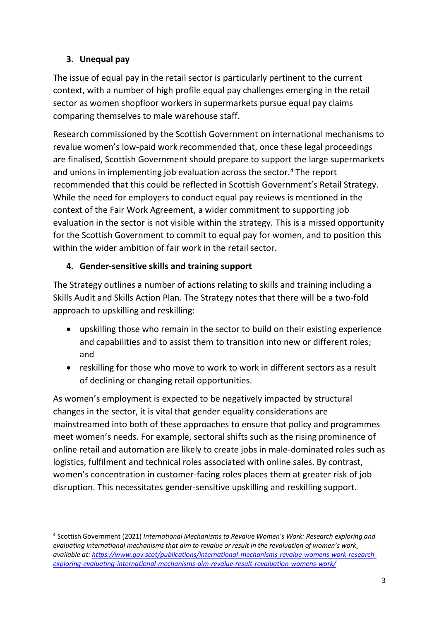### **3. Unequal pay**

The issue of equal pay in the retail sector is particularly pertinent to the current context, with a number of high profile equal pay challenges emerging in the retail sector as women shopfloor workers in supermarkets pursue equal pay claims comparing themselves to male warehouse staff.

Research commissioned by the Scottish Government on international mechanisms to revalue women's low-paid work recommended that, once these legal proceedings are finalised, Scottish Government should prepare to support the large supermarkets and unions in implementing job evaluation across the sector.<sup>4</sup> The report recommended that this could be reflected in Scottish Government's Retail Strategy. While the need for employers to conduct equal pay reviews is mentioned in the context of the Fair Work Agreement, a wider commitment to supporting job evaluation in the sector is not visible within the strategy. This is a missed opportunity for the Scottish Government to commit to equal pay for women, and to position this within the wider ambition of fair work in the retail sector.

### **4. Gender-sensitive skills and training support**

The Strategy outlines a number of actions relating to skills and training including a Skills Audit and Skills Action Plan. The Strategy notes that there will be a two-fold approach to upskilling and reskilling:

- upskilling those who remain in the sector to build on their existing experience and capabilities and to assist them to transition into new or different roles; and
- reskilling for those who move to work to work in different sectors as a result of declining or changing retail opportunities.

As women's employment is expected to be negatively impacted by structural changes in the sector, it is vital that gender equality considerations are mainstreamed into both of these approaches to ensure that policy and programmes meet women's needs. For example, sectoral shifts such as the rising prominence of online retail and automation are likely to create jobs in male-dominated roles such as logistics, fulfilment and technical roles associated with online sales. By contrast, women's concentration in customer-facing roles places them at greater risk of job disruption. This necessitates gender-sensitive upskilling and reskilling support.

<sup>4</sup> Scottish Government (2021) *International Mechanisms to Revalue Women's Work: Research exploring and evaluating international mechanisms that aim to revalue or result in the revaluation of women's work¸ available at[: https://www.gov.scot/publications/international-mechanisms-revalue-womens-work-research](https://www.gov.scot/publications/international-mechanisms-revalue-womens-work-research-exploring-evaluating-international-mechanisms-aim-revalue-result-revaluation-womens-work/)[exploring-evaluating-international-mechanisms-aim-revalue-result-revaluation-womens-work/](https://www.gov.scot/publications/international-mechanisms-revalue-womens-work-research-exploring-evaluating-international-mechanisms-aim-revalue-result-revaluation-womens-work/)*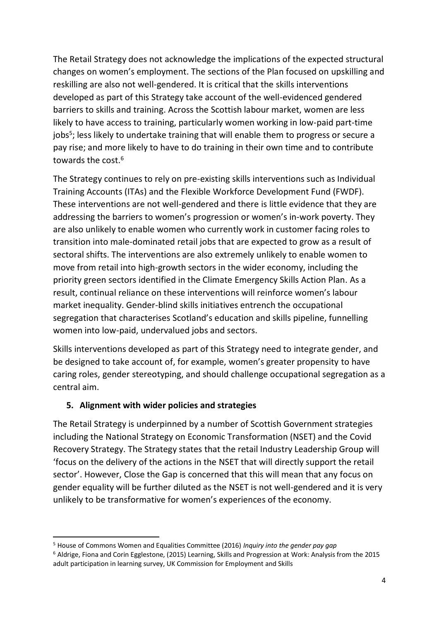The Retail Strategy does not acknowledge the implications of the expected structural changes on women's employment. The sections of the Plan focused on upskilling and reskilling are also not well-gendered. It is critical that the skills interventions developed as part of this Strategy take account of the well-evidenced gendered barriers to skills and training. Across the Scottish labour market, women are less likely to have access to training, particularly women working in low-paid part-time jobs<sup>5</sup>; less likely to undertake training that will enable them to progress or secure a pay rise; and more likely to have to do training in their own time and to contribute towards the cost.<sup>6</sup>

The Strategy continues to rely on pre-existing skills interventions such as Individual Training Accounts (ITAs) and the Flexible Workforce Development Fund (FWDF). These interventions are not well-gendered and there is little evidence that they are addressing the barriers to women's progression or women's in-work poverty. They are also unlikely to enable women who currently work in customer facing roles to transition into male-dominated retail jobs that are expected to grow as a result of sectoral shifts. The interventions are also extremely unlikely to enable women to move from retail into high-growth sectors in the wider economy, including the priority green sectors identified in the Climate Emergency Skills Action Plan. As a result, continual reliance on these interventions will reinforce women's labour market inequality. Gender-blind skills initiatives entrench the occupational segregation that characterises Scotland's education and skills pipeline, funnelling women into low-paid, undervalued jobs and sectors.

Skills interventions developed as part of this Strategy need to integrate gender, and be designed to take account of, for example, women's greater propensity to have caring roles, gender stereotyping, and should challenge occupational segregation as a central aim.

#### **5. Alignment with wider policies and strategies**

The Retail Strategy is underpinned by a number of Scottish Government strategies including the National Strategy on Economic Transformation (NSET) and the Covid Recovery Strategy. The Strategy states that the retail Industry Leadership Group will 'focus on the delivery of the actions in the NSET that will directly support the retail sector'. However, Close the Gap is concerned that this will mean that any focus on gender equality will be further diluted as the NSET is not well-gendered and it is very unlikely to be transformative for women's experiences of the economy.

<sup>5</sup> House of Commons Women and Equalities Committee (2016) *Inquiry into the gender pay gap* <sup>6</sup> Aldrige, Fiona and Corin Egglestone, (2015) Learning, Skills and Progression at Work: Analysis from the 2015 adult participation in learning survey, UK Commission for Employment and Skills